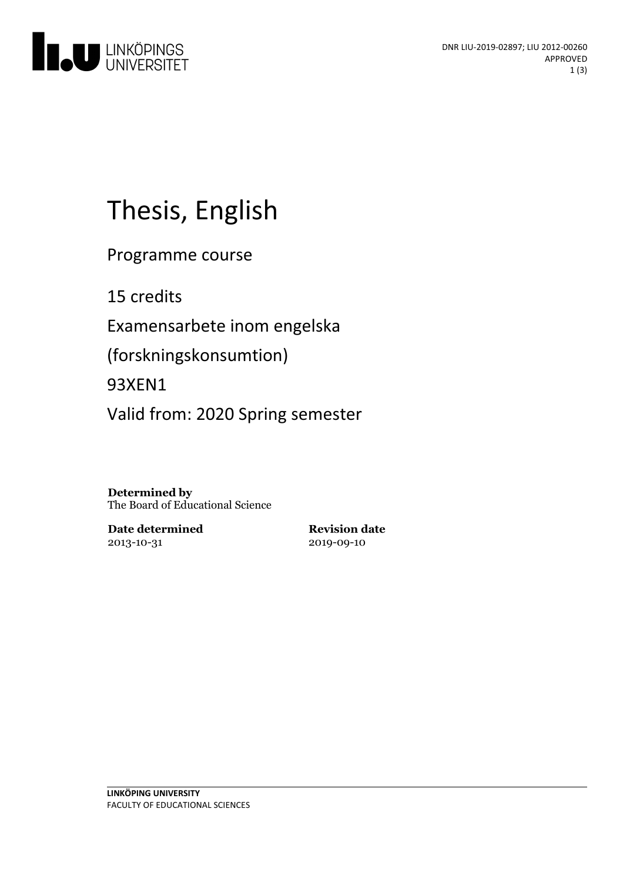

# Thesis, English

Programme course

15 credits

Examensarbete inom engelska

(forskningskonsumtion)

93XEN1

Valid from: 2020 Spring semester

**Determined by** The Board of Educational Science

**Date determined** 2013-10-31

**Revision date** 2019-09-10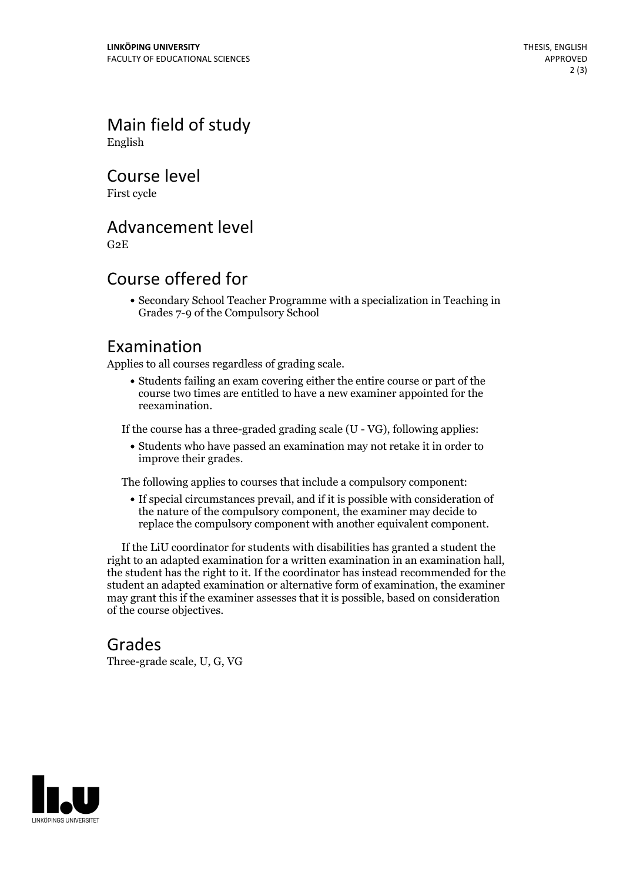Main field of study English

Course level

First cycle

#### Advancement level

G2E

### Course offered for

Secondary School Teacher Programme with a specialization in Teaching in Grades 7-9 of the Compulsory School

#### Examination

Applies to all courses regardless of grading scale.

Students failing an exam covering either the entire course or part of the course two times are entitled to have a new examiner appointed for the reexamination.

If the course has a three-graded grading scale (U - VG), following applies:

Students who have passed an examination may not retake it in order to improve their grades.

The following applies to courses that include a compulsory component:

If special circumstances prevail, and if it is possible with consideration of the nature of the compulsory component, the examiner may decide to replace the compulsory component with another equivalent component.

If the LiU coordinator for students with disabilities has granted a student the right to an adapted examination for <sup>a</sup> written examination in an examination hall, the student has the right to it. If the coordinator has instead recommended for the student an adapted examination or alternative form of examination, the examiner may grant this if the examiner assesses that it is possible, based on consideration of the course objectives.

#### Grades

Three-grade scale, U, G, VG